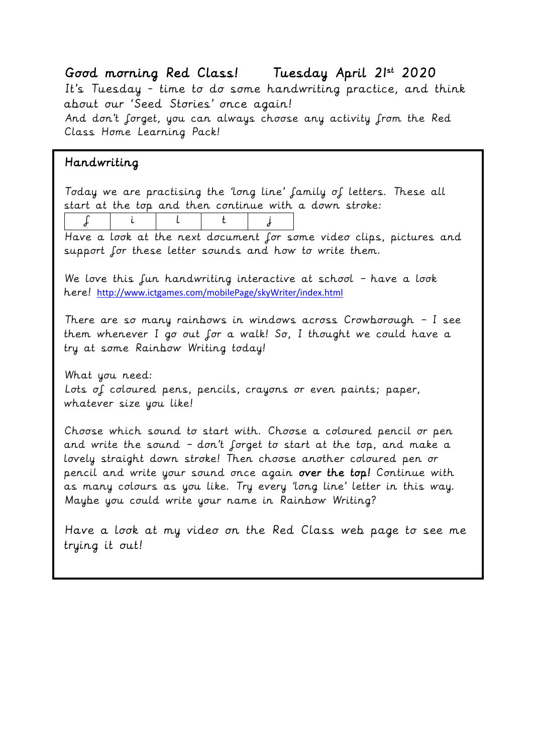## Good morning Red Class! Tuesday April 21st 2020

It's Tuesday - time to do some handwriting practice, and think about our 'Seed Stories' once again!

And don't forget, you can always choose any activity from the Red Class Home Learning Pack!

## Handwriting

Today we are practising the 'long line' family of letters. These all start at the top and then continue with a down stroke:

f i l t j

Have a look at the next document for some video clips, pictures and support for these letter sounds and how to write them.

We love this fun handwriting interactive at school - have a look here! <http://www.ictgames.com/mobilePage/skyWriter/index.html>

There are so many rainbows in windows across Crowborough – I see them whenever I go out for a walk! So, I thought we could have a try at some Rainbow Writing today!

What you need: Lots of coloured pens, pencils, crayons or even paints; paper, whatever size you like!

Choose which sound to start with. Choose a coloured pencil or pen and write the sound – don't forget to start at the top, and make a lovely straight down stroke! Then choose another coloured pen or pencil and write your sound once again over the top! Continue with as many colours as you like. Try every 'long line' letter in this way. Maybe you could write your name in Rainbow Writing?

Have a look at my video on the Red Class web page to see me trying it out!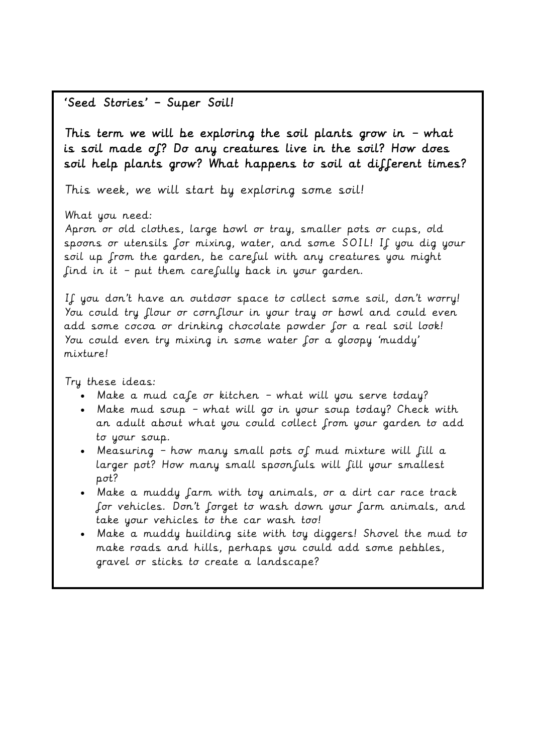## 'Seed Stories' – Super Soil!

This term we will be exploring the soil plants grow in – what is soil made of? Do any creatures live in the soil? How does soil help plants grow? What happens to soil at different times?

This week, we will start by exploring some soil!

What you need:

Apron or old clothes, large bowl or tray, smaller pots or cups, old spoons or utensils for mixing, water, and some SOIL! If you dig your soil up from the garden, be careful with any creatures you might find in it – put them carefully back in your garden.

If you don't have an outdoor space to collect some soil, don't worry! You could try flour or cornflour in your tray or bowl and could even add some cocoa or drinking chocolate powder for a real soil look! You could even try mixing in some water for a gloopy 'muddy' mixture!

Try these ideas:

- Make a mud cafe or kitchen what will you serve today?
- Make mud soup what will go in your soup today? Check with an adult about what you could collect from your garden to add to your soup.
- Measuring  $-$  how many small pots of mud mixture will fill a larger pot? How many small spoon fuls will fill your smallest pot?
- Make a muddy farm with toy animals, or a dirt car race track for vehicles. Don't forget to wash down your farm animals, and take your vehicles to the car wash too!
- Make a muddy building site with toy diggers! Shovel the mud to make roads and hills, perhaps you could add some pebbles, gravel or sticks to create a landscape?